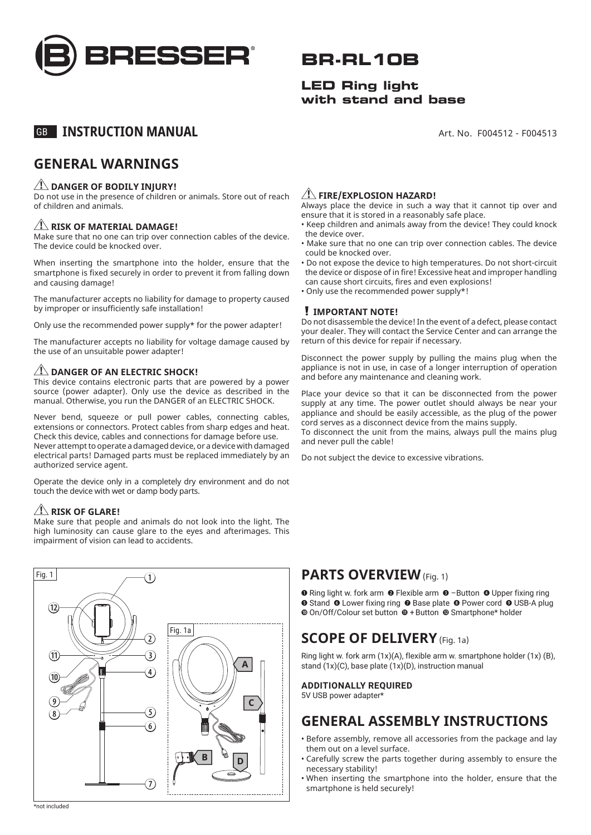

## **BR-RL10B**

#### **LED Ring light with stand and base**

Art. No. F004512 - F004513

### GB **INSTRUCTION MANUAL**

### **GENERAL WARNINGS**

#### **ZINGER OF BODILY INJURY!**

Do not use in the presence of children or animals. Store out of reach of children and animals.

#### **RISK OF MATERIAL DAMAGE!**

Make sure that no one can trip over connection cables of the device. The device could be knocked over.

When inserting the smartphone into the holder, ensure that the smartphone is fixed securely in order to prevent it from falling down and causing damage!

The manufacturer accepts no liability for damage to property caused by improper or insufficiently safe installation!

Only use the recommended power supply\* for the power adapter!

The manufacturer accepts no liability for voltage damage caused by the use of an unsuitable power adapter!

#### **ZING DANGER OF AN ELECTRIC SHOCK!**

This device contains electronic parts that are powered by a power source (power adapter). Only use the device as described in the manual. Otherwise, you run the DANGER of an ELECTRIC SHOCK.

Never bend, squeeze or pull power cables, connecting cables, extensions or connectors. Protect cables from sharp edges and heat. Check this device, cables and connections for damage before use. Never attempt to operate a damaged device, or a device with damaged electrical parts! Damaged parts must be replaced immediately by an authorized service agent.

Operate the device only in a completely dry environment and do not touch the device with wet or damp body parts.

#### $\sqrt{N}$  RISK OF GLARE!

Make sure that people and animals do not look into the light. The high luminosity can cause glare to the eyes and afterimages. This impairment of vision can lead to accidents.

#### Fig. 1 Fig. 1a **A B C D**  $\bigcap$  $\widehat{12}$  $\textcircled{\textsf{n}}$  $\overline{\mathbf{0}}$ ि  $\overline{4}$ 5 6  $\left(7\right)$  $\overline{2}$  $\breve{\circledast}$  $\circledcirc$

#### **FIRE/EXPLOSION HAZARD!**

Always place the device in such a way that it cannot tip over and ensure that it is stored in a reasonably safe place.

- Keep children and animals away from the device! They could knock the device over.
- Make sure that no one can trip over connection cables. The device could be knocked over.
- Do not expose the device to high temperatures. Do not short-circuit the device or dispose of in fire! Excessive heat and improper handling can cause short circuits, fires and even explosions!
- Only use the recommended power supply\*!

#### **IMPORTANT NOTE!**

Do not disassemble the device! In the event of a defect, please contact your dealer. They will contact the Service Center and can arrange the return of this device for repair if necessary.

Disconnect the power supply by pulling the mains plug when the appliance is not in use, in case of a longer interruption of operation and before any maintenance and cleaning work.

Place your device so that it can be disconnected from the power supply at any time. The power outlet should always be near your appliance and should be easily accessible, as the plug of the power cord serves as a disconnect device from the mains supply.

To disconnect the unit from the mains, always pull the mains plug and never pull the cable!

Do not subject the device to excessive vibrations.

#### **PARTS OVERVIEW** (Fig. 1)

**O** Ring light w. fork arm **O** Flexible arm **O** -Button **O** Upper fixing ring **O** Stand **O** Lower fixing ring **O** Base plate **O** Power cord **O** USB-A plug  $\Phi$  On/Off/Colour set button  $\Phi$  + Button  $\Phi$  Smartphone\* holder

### **SCOPE OF DELIVERY** (Fig. 1a)

Ring light w. fork arm (1x)(A), flexible arm w. smartphone holder (1x) (B), stand (1x)(C), base plate (1x)(D), instruction manual

#### **ADDITIONALLY REQUIRED**

5V USB power adapter\*

### **GENERAL ASSEMBLY INSTRUCTIONS**

- Before assembly, remove all accessories from the package and lay them out on a level surface.
- Carefully screw the parts together during assembly to ensure the necessary stability!
- When inserting the smartphone into the holder, ensure that the smartphone is held securely!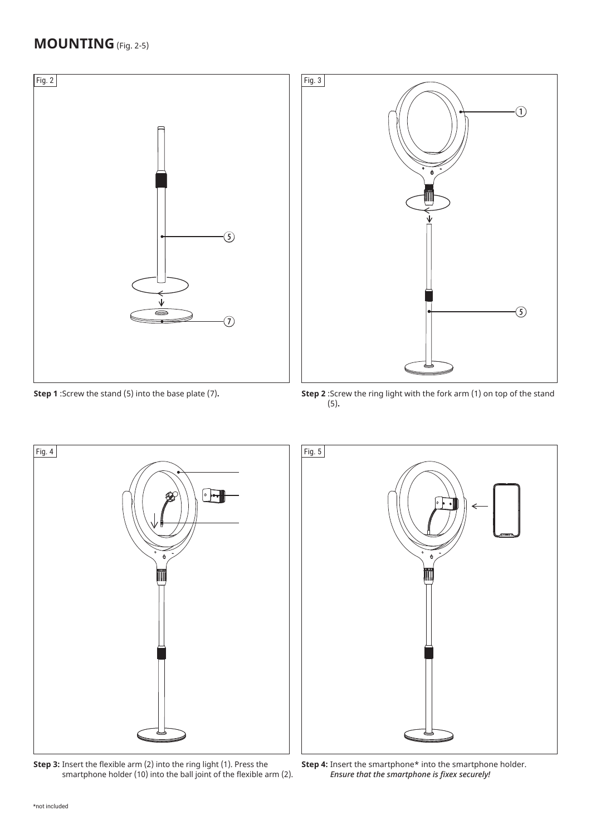### **MOUNTING** (Fig. 2-5)



**Step 1** :Screw the stand (5) into the base plate (7)**.**



**Step 2** :Screw the ring light with the fork arm (1) on top of the stand (5)**.**

*Ensure that the smartphone is fixex securely!*



**Step 3:** Insert the flexible arm (2) into the ring light (1). Press the smartphone holder (10) into the ball joint of the flexible arm (2).

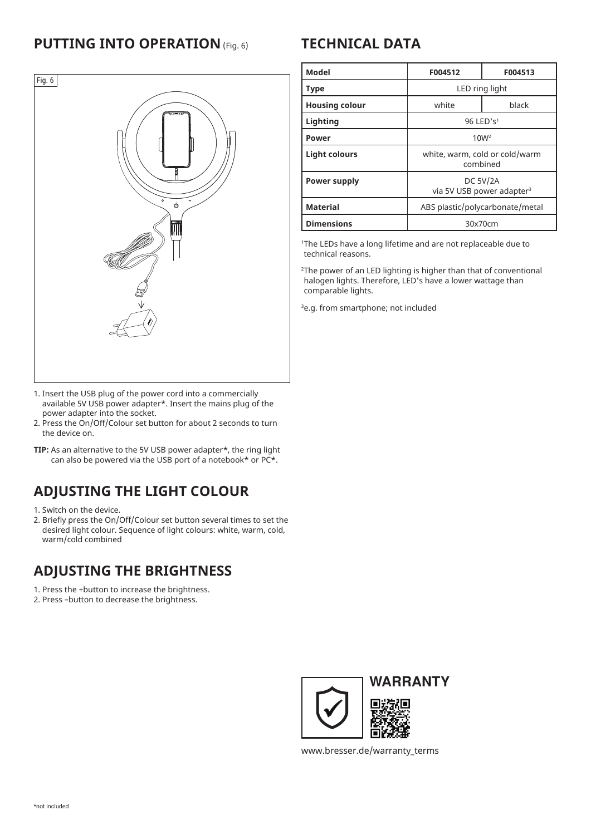### **PUTTING INTO OPERATION** (Fig. 6)



- 1. Insert the USB plug of the power cord into a commercially available 5V USB power adapter\*. Insert the mains plug of the power adapter into the socket.
- 2. Press the On/Off/Colour set button for about 2 seconds to turn the device on.
- **TIP:** As an alternative to the 5V USB power adapter\*, the ring light can also be powered via the USB port of a notebook\* or PC\*.

## **ADJUSTING THE LIGHT COLOUR**

1. Switch on the device.

2. Briefly press the On/Off/Colour set button several times to set the desired light colour. Sequence of light colours: white, warm, cold, warm/cold combined

### **ADJUSTING THE BRIGHTNESS**

1. Press the +button to increase the brightness.

2. Press –button to decrease the brightness.

## **TECHNICAL DATA**

| Model                 | F004512                                                  | F004513 |
|-----------------------|----------------------------------------------------------|---------|
| <b>Type</b>           | LED ring light                                           |         |
| <b>Housing colour</b> | white                                                    | black   |
| Lighting              | 96 LED's <sup>1</sup>                                    |         |
| Power                 | 10W <sup>2</sup>                                         |         |
| Light colours         | white, warm, cold or cold/warm<br>combined               |         |
| Power supply          | <b>DC 5V/2A</b><br>via 5V USB power adapter <sup>3</sup> |         |
| <b>Material</b>       | ABS plastic/polycarbonate/metal                          |         |
| <b>Dimensions</b>     | 30x70cm                                                  |         |

1 The LEDs have a long lifetime and are not replaceable due to technical reasons.

2 The power of an LED lighting is higher than that of conventional halogen lights. Therefore, LED's have a lower wattage than comparable lights.

3 e.g. from smartphone; not included



www.bresser.de/warranty\_terms